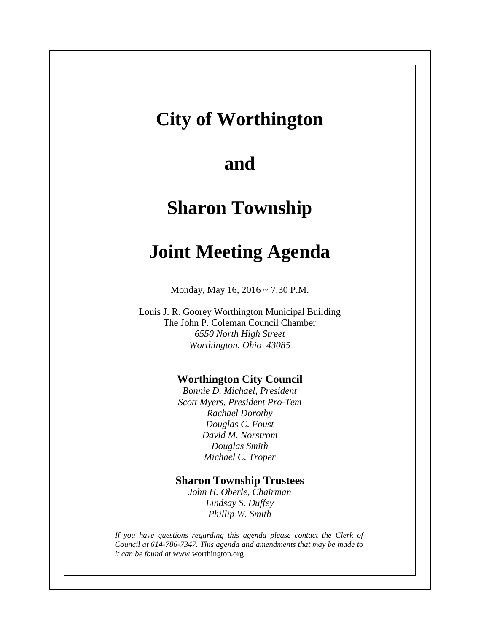## **City of Worthington**

## **and**

## **Sharon Township**

# **Joint Meeting Agenda**

Monday, May 16, 2016 ~ 7:30 P.M.

Louis J. R. Goorey Worthington Municipal Building The John P. Coleman Council Chamber *6550 North High Street Worthington, Ohio 43085*

### **Worthington City Council**

*Bonnie D. Michael, President Scott Myers, President Pro-Tem Rachael Dorothy Douglas C. Foust David M. Norstrom Douglas Smith Michael C. Troper*

### **Sharon Township Trustees**

*John H. Oberle, Chairman Lindsay S. Duffey Phillip W. Smith*

*If you have questions regarding this agenda please contact the Clerk of Council at 614-786-7347. This agenda and amendments that may be made to it can be found at* www.worthington.org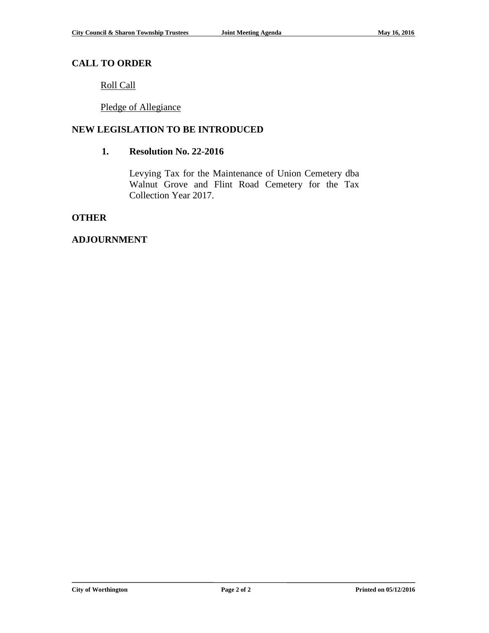## **CALL TO ORDER**

Roll Call

Pledge of Allegiance

## **NEW LEGISLATION TO BE INTRODUCED**

#### **1. Resolution No. 22-2016**

Levying Tax for the Maintenance of Union Cemetery dba Walnut Grove and Flint Road Cemetery for the Tax Collection Year 2017.

#### **OTHER**

#### **ADJOURNMENT**